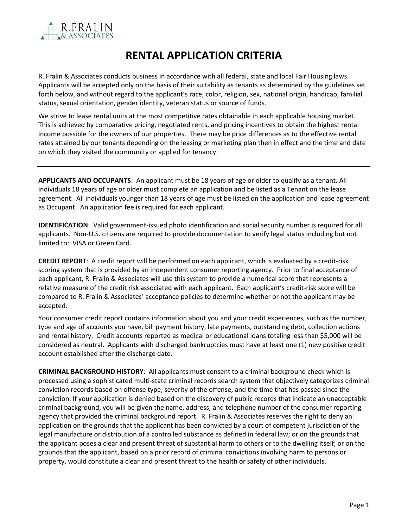

## **RENTAL APPLICATION CRITERIA**

R. Fralin & Associates conducts business in accordance with all federal, state and local Fair Housing laws. Applicants will be accepted only on the basis of their suitability as tenants as determined by the guidelines set forth below, and without regard to the applicant's race, color, religion, sex, national origin, handicap, familial status, sexual orientation, gender identity, veteran status or source of funds.

We strive to lease rental units at the most competitive rates obtainable in each applicable housing market. This is achieved by comparative pricing, negotiated rents, and pricing incentives to obtain the highest rental income possible for the owners of our properties. There may be price differences as to the effective rental rates attained by our tenants depending on the leasing or marketing plan then in effect and the time and date on which they visited the community or applied for tenancy.

**APPLICANTS AND OCCUPANTS**: An applicant must be 18 years of age or older to qualify as a tenant. All individuals 18 years of age or older must complete an application and be listed as a Tenant on the lease agreement. All individuals younger than 18 years of age must be listed on the application and lease agreement as Occupant. An application fee is required for each applicant.

**IDENTIFICATION**: Valid government-issued photo identification and social security number is required for all applicants. Non-U.S. citizens are required to provide documentation to verify legal status including but not limited to: VISA or Green Card.

**CREDIT REPORT**: A credit report will be performed on each applicant, which is evaluated by a credit-risk scoring system that is provided by an independent consumer reporting agency. Prior to final acceptance of each applicant, R. Fralin & Associates will use this system to provide a numerical score that represents a relative measure of the credit risk associated with each applicant. Each applicant's credit-risk score will be compared to R. Fralin & Associates' acceptance policies to determine whether or not the applicant may be accepted.

Your consumer credit report contains information about you and your credit experiences, such as the number, type and age of accounts you have, bill payment history, late payments, outstanding debt, collection actions and rental history. Credit accounts reported as medical or educational loans totaling less than \$5,000 will be considered as neutral. Applicants with discharged bankruptcies must have at least one (1) new positive credit account established after the discharge date.

**CRIMINAL BACKGROUND HISTORY**: All applicants must consent to a criminal background check which is processed using a sophisticated multi-state criminal records search system that objectively categorizes criminal conviction records based on offense type, severity of the offense, and the time that has passed since the conviction. If your application is denied based on the discovery of public records that indicate an unacceptable criminal background, you will be given the name, address, and telephone number of the consumer reporting agency that provided the criminal background report. R. Fralin & Associates reserves the right to deny an application on the grounds that the applicant has been convicted by a court of competent jurisdiction of the legal manufacture or distribution of a controlled substance as defined in federal law; or on the grounds that the applicant poses a clear and present threat of substantial harm to others or to the dwelling itself; or on the grounds that the applicant, based on a prior record of criminal convictions involving harm to persons or property, would constitute a clear and present threat to the health or safety of other individuals.